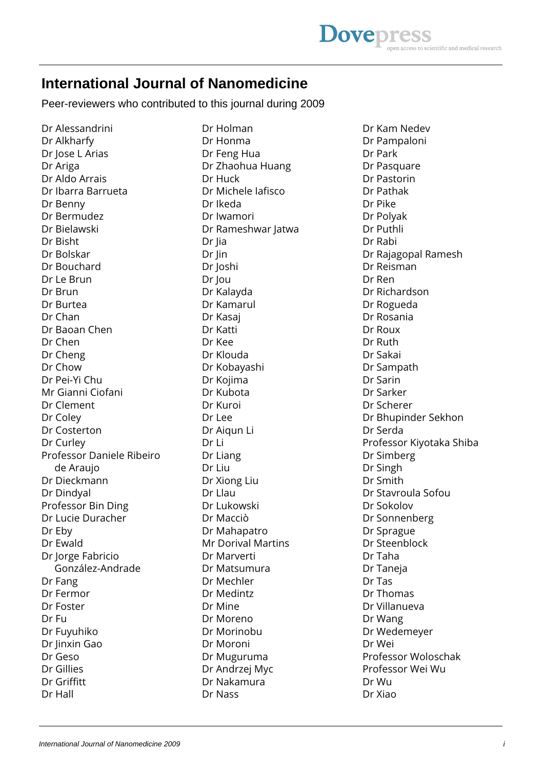## **International Journal of Nanomedicine**

Peer-reviewers who contributed to this journal during 2009

Dr Alessandrini Dr Alkharfy Dr Jose L Arias Dr Ariga Dr Aldo Arrais Dr Ibarra Barrueta Dr Benny Dr Bermudez Dr Bielawski Dr Bisht Dr Bolskar Dr Bouchard Dr Le Brun Dr Brun Dr Burtea Dr Chan Dr Baoan Chen Dr Chen Dr Cheng Dr Chow Dr Pei-Yi Chu Mr Gianni Ciofani Dr Clement Dr Coley Dr Costerton Dr Curley Professor Daniele Ribeiro de Araujo Dr Dieckmann Dr Dindyal Professor Bin Ding Dr Lucie Duracher Dr Eby Dr Ewald Dr Jorge Fabricio González-Andrade Dr Fang Dr Fermor Dr Foster Dr Fu Dr Fuyuhiko Dr Jinxin Gao Dr Geso Dr Gillies Dr Griffitt Dr Hall

Dr Holman Dr Honma Dr Feng Hua Dr Zhaohua Huang Dr Huck Dr Michele Iafisco Dr Ikeda Dr Iwamori Dr Rameshwar Jatwa Dr Jia Dr Jin Dr Joshi Dr Jou Dr Kalayda Dr Kamarul Dr Kasaj Dr Katti Dr Kee Dr Klouda Dr Kobayashi Dr Kojima Dr Kubota Dr Kuroi Dr Lee Dr Aiqun Li Dr Li Dr Liang Dr Liu Dr Xiong Liu Dr Llau Dr Lukowski Dr Macciò Dr Mahapatro Mr Dorival Martins Dr Marverti Dr Matsumura Dr Mechler Dr Medintz Dr Mine Dr Moreno Dr Morinobu Dr Moroni Dr Muguruma Dr Andrzej Myc Dr Nakamura Dr Nass

Dr Kam Nedev Dr Pampaloni Dr Park Dr Pasquare Dr Pastorin Dr Pathak Dr Pike Dr Polyak Dr Puthli Dr Rabi Dr Rajagopal Ramesh Dr Reisman Dr Ren Dr Richardson Dr Rogueda Dr Rosania Dr Roux Dr Ruth Dr Sakai Dr Sampath Dr Sarin Dr Sarker Dr Scherer Dr Bhupinder Sekhon Dr Serda Professor Kiyotaka Shiba Dr Simberg Dr Singh Dr Smith Dr Stavroula Sofou Dr Sokolov Dr Sonnenberg Dr Sprague Dr Steenblock Dr Taha Dr Taneja Dr Tas Dr Thomas Dr Villanueva Dr Wang Dr Wedemeyer Dr Wei Professor Woloschak Professor Wei Wu Dr Wu Dr Xiao